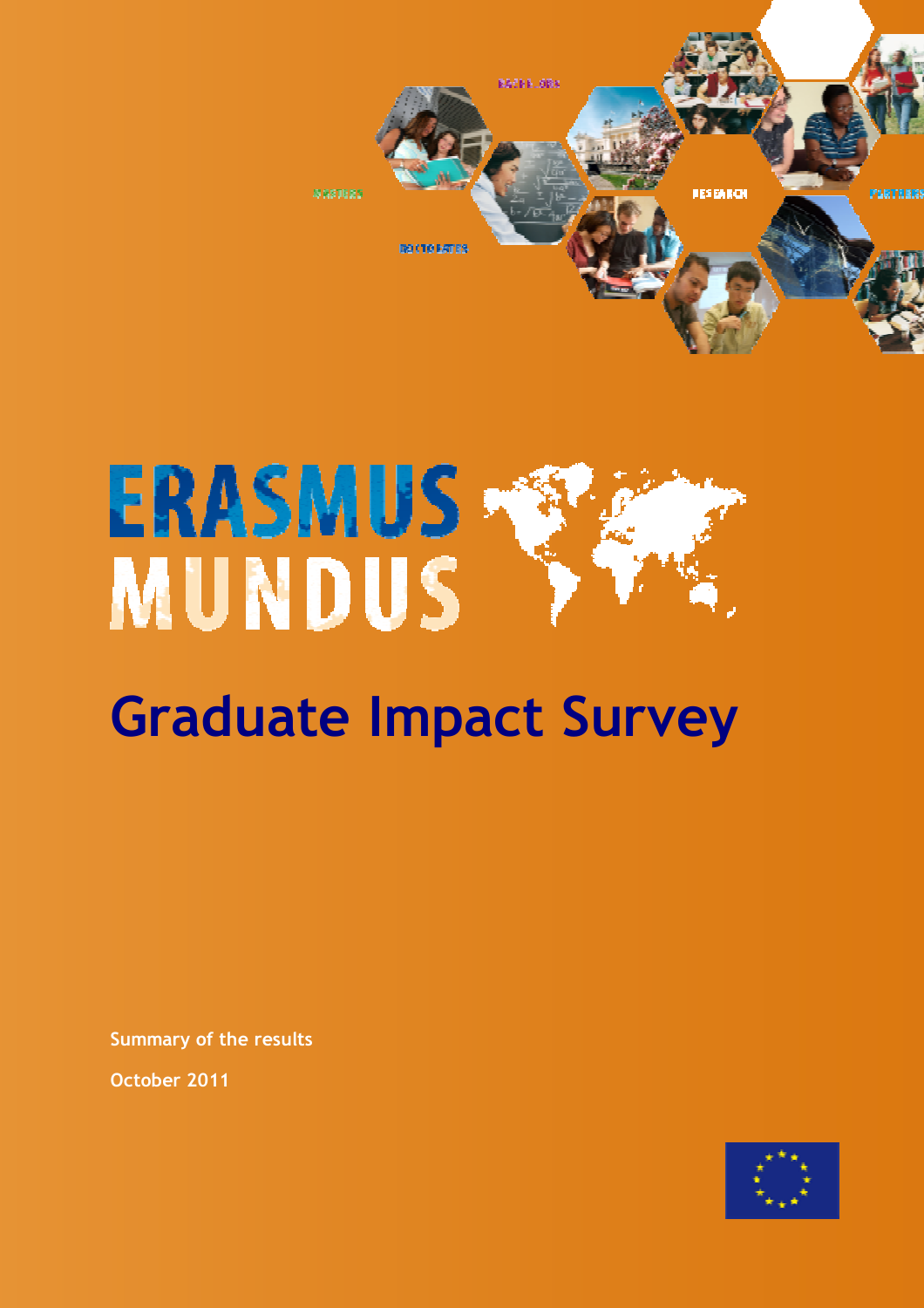

## **ERASMUS MUNDUS**

## Graduate Impact Survey

Summary of the results

October 2011

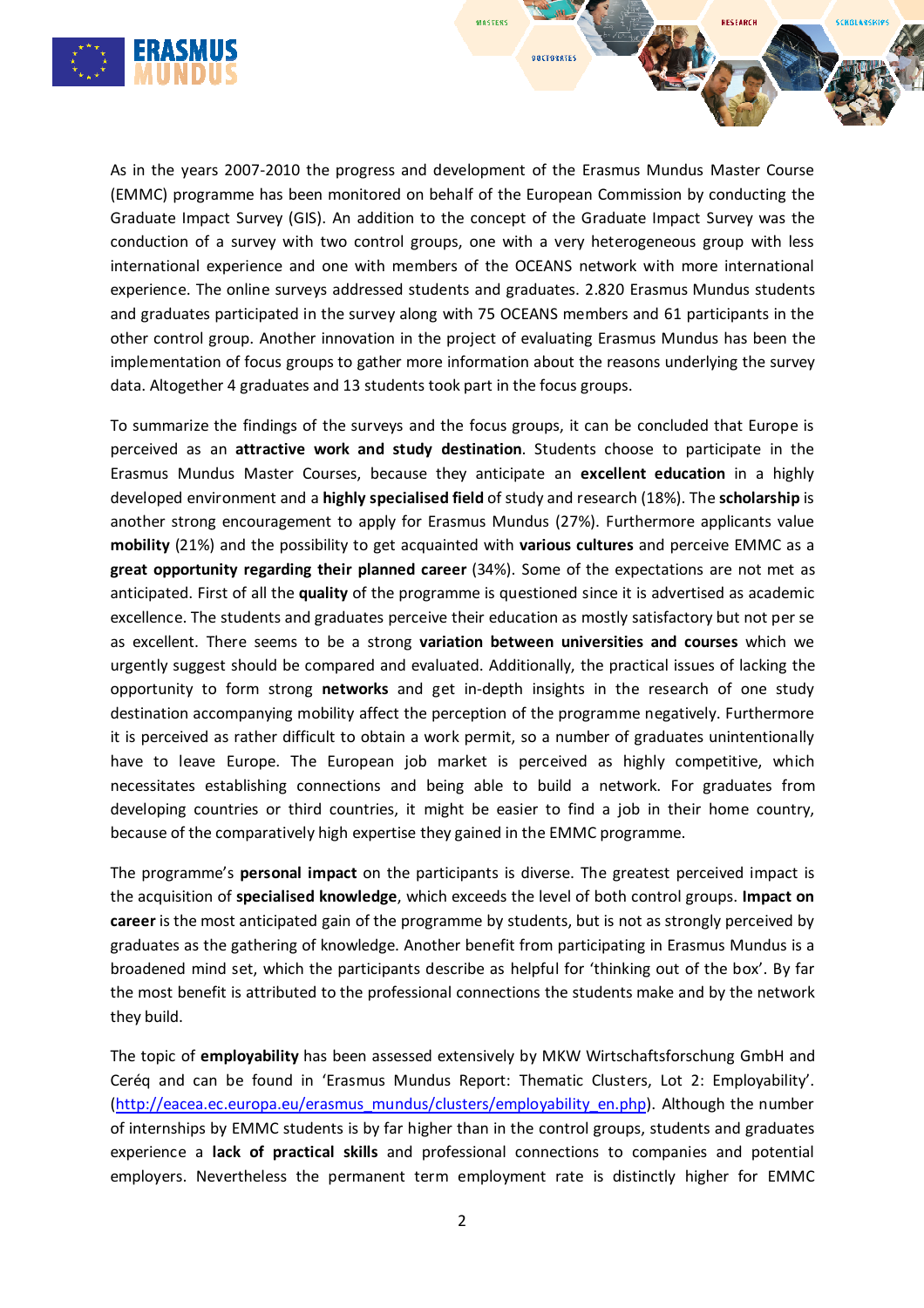

As in the years 2007-2010 the progress and development of the Erasmus Mundus Master Course (EMMC) programme has been monitored on behalf of the European Commission by conducting the Graduate Impact Survey (GIS). An addition to the concept of the Graduate Impact Survey was the conduction of a survey with two control groups, one with a very heterogeneous group with less international experience and one with members of the OCEANS network with more international experience. The online surveys addressed students and graduates. 2.820 Erasmus Mundus students and graduates participated in the survey along with 75 OCEANS members and 61 participants in the other control group. Another innovation in the project of evaluating Erasmus Mundus has been the implementation of focus groups to gather more information about the reasons underlying the survey data. Altogether 4 graduates and 13 students took part in the focus groups.

**MASTERS** 

**DOCTORATES** 

SCHOLARSHIC

To summarize the findings of the surveys and the focus groups, it can be concluded that Europe is perceived as an attractive work and study destination. Students choose to participate in the Erasmus Mundus Master Courses, because they anticipate an excellent education in a highly developed environment and a highly specialised field of study and research (18%). The scholarship is another strong encouragement to apply for Erasmus Mundus (27%). Furthermore applicants value mobility (21%) and the possibility to get acquainted with various cultures and perceive EMMC as a great opportunity regarding their planned career (34%). Some of the expectations are not met as anticipated. First of all the quality of the programme is questioned since it is advertised as academic excellence. The students and graduates perceive their education as mostly satisfactory but not per se as excellent. There seems to be a strong variation between universities and courses which we urgently suggest should be compared and evaluated. Additionally, the practical issues of lacking the opportunity to form strong networks and get in-depth insights in the research of one study destination accompanying mobility affect the perception of the programme negatively. Furthermore it is perceived as rather difficult to obtain a work permit, so a number of graduates unintentionally have to leave Europe. The European job market is perceived as highly competitive, which necessitates establishing connections and being able to build a network. For graduates from developing countries or third countries, it might be easier to find a job in their home country, because of the comparatively high expertise they gained in the EMMC programme.

The programme's personal impact on the participants is diverse. The greatest perceived impact is the acquisition of specialised knowledge, which exceeds the level of both control groups. Impact on career is the most anticipated gain of the programme by students, but is not as strongly perceived by graduates as the gathering of knowledge. Another benefit from participating in Erasmus Mundus is a broadened mind set, which the participants describe as helpful for 'thinking out of the box'. By far the most benefit is attributed to the professional connections the students make and by the network they build.

The topic of employability has been assessed extensively by MKW Wirtschaftsforschung GmbH and Ceréq and can be found in 'Erasmus Mundus Report: Thematic Clusters, Lot 2: Employability'. (http://eacea.ec.europa.eu/erasmus\_mundus/clusters/employability\_en.php). Although the number of internships by EMMC students is by far higher than in the control groups, students and graduates experience a lack of practical skills and professional connections to companies and potential employers. Nevertheless the permanent term employment rate is distinctly higher for EMMC